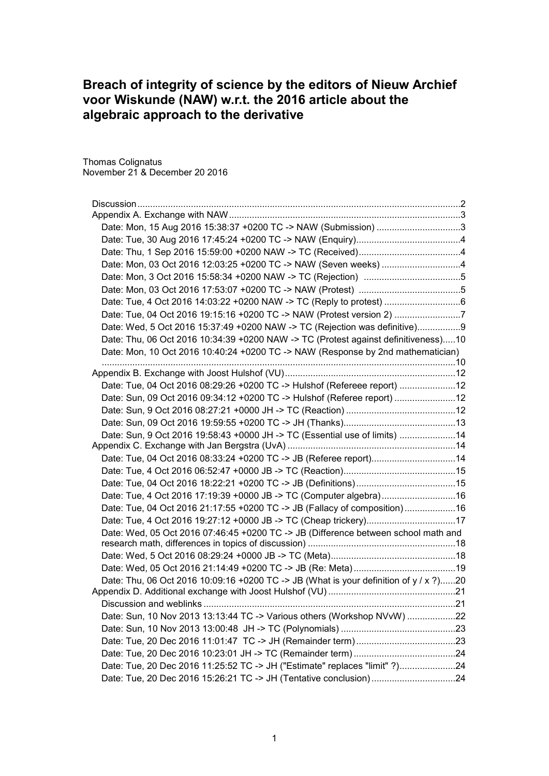# **Breach of integrity of science by the editors of Nieuw Archief voor Wiskunde (NAW) w.r.t. the 2016 article about the algebraic approach to the derivative**

Thomas Colignatus November 21 & December 20 2016

| Date: Mon, 03 Oct 2016 12:03:25 +0200 TC -> NAW (Seven weeks) 4                       |  |
|---------------------------------------------------------------------------------------|--|
|                                                                                       |  |
|                                                                                       |  |
|                                                                                       |  |
| Date: Tue, 04 Oct 2016 19:15:16 +0200 TC -> NAW (Protest version 2) 7                 |  |
| Date: Wed, 5 Oct 2016 15:37:49 +0200 NAW -> TC (Rejection was definitive)9            |  |
| Date: Thu, 06 Oct 2016 10:34:39 +0200 NAW -> TC (Protest against definitiveness)10    |  |
| Date: Mon, 10 Oct 2016 10:40:24 +0200 TC -> NAW (Response by 2nd mathematician)       |  |
|                                                                                       |  |
|                                                                                       |  |
| Date: Tue, 04 Oct 2016 08:29:26 +0200 TC -> Hulshof (Refereee report) 12              |  |
| Date: Sun, 09 Oct 2016 09:34:12 +0200 TC -> Hulshof (Referee report) 12               |  |
|                                                                                       |  |
|                                                                                       |  |
| Date: Sun, 9 Oct 2016 19:58:43 +0000 JH -> TC (Essential use of limits) 14            |  |
|                                                                                       |  |
| Date: Tue, 04 Oct 2016 08:33:24 +0200 TC -> JB (Referee report)14                     |  |
|                                                                                       |  |
|                                                                                       |  |
| Date: Tue, 4 Oct 2016 17:19:39 +0000 JB -> TC (Computer algebra)16                    |  |
| Date: Tue, 04 Oct 2016 21:17:55 +0200 TC -> JB (Fallacy of composition)16             |  |
| Date: Tue, 4 Oct 2016 19:27:12 +0000 JB -> TC (Cheap trickery)17                      |  |
| Date: Wed, 05 Oct 2016 07:46:45 +0200 TC -> JB (Difference between school math and    |  |
|                                                                                       |  |
|                                                                                       |  |
|                                                                                       |  |
| Date: Thu, 06 Oct 2016 10:09:16 +0200 TC -> JB (What is your definition of y / x ?)20 |  |
|                                                                                       |  |
| Date: Sun, 10 Nov 2013 13:13:44 TC -> Various others (Workshop NVvW) 22               |  |
|                                                                                       |  |
|                                                                                       |  |
|                                                                                       |  |
| Date: Tue, 20 Dec 2016 11:25:52 TC -> JH ("Estimate" replaces "limit" ?)24            |  |
|                                                                                       |  |
| Date: Tue, 20 Dec 2016 15:26:21 TC -> JH (Tentative conclusion)24                     |  |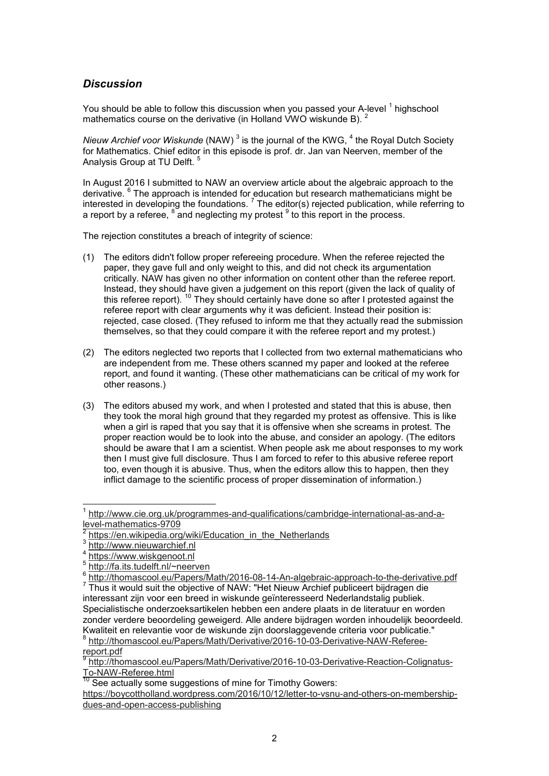# *Discussion*

You should be able to follow this discussion when you passed your A-level <sup>1</sup> highschool mathematics course on the derivative (in Holland VWO wiskunde B).  $\frac{2}{3}$ 

*Nieuw Archief voor Wiskunde* (NAW) <sup>3</sup> is the journal of the KWG, <sup>4</sup> the Royal Dutch Society for Mathematics. Chief editor in this episode is prof. dr. Jan van Neerven, member of the Analysis Group at TU Delft. <sup>5</sup>

In August 2016 I submitted to NAW an overview article about the algebraic approach to the derivative. <sup>6</sup> The approach is intended for education but research mathematicians might be interested in developing the foundations.  $^7$  The editor(s) rejected publication, while referring to a report by a referee,  $^8$  and neglecting my protest  $^9$  to this report in the process.

The rejection constitutes a breach of integrity of science:

- (1) The editors didn't follow proper refereeing procedure. When the referee rejected the paper, they gave full and only weight to this, and did not check its argumentation critically. NAW has given no other information on content other than the referee report. Instead, they should have given a judgement on this report (given the lack of quality of this referee report). <sup>10</sup> They should certainly have done so after I protested against the referee report with clear arguments why it was deficient. Instead their position is: rejected, case closed. (They refused to inform me that they actually read the submission themselves, so that they could compare it with the referee report and my protest.)
- (2) The editors neglected two reports that I collected from two external mathematicians who are independent from me. These others scanned my paper and looked at the referee report, and found it wanting. (These other mathematicians can be critical of my work for other reasons.)
- (3) The editors abused my work, and when I protested and stated that this is abuse, then they took the moral high ground that they regarded my protest as offensive. This is like when a girl is raped that you say that it is offensive when she screams in protest. The proper reaction would be to look into the abuse, and consider an apology. (The editors should be aware that I am a scientist. When people ask me about responses to my work then I must give full disclosure. Thus I am forced to refer to this abusive referee report too, even though it is abusive. Thus, when the editors allow this to happen, then they inflict damage to the scientific process of proper dissemination of information.)

Specialistische onderzoeksartikelen hebben een andere plaats in de literatuur en worden zonder verdere beoordeling geweigerd. Alle andere bijdragen worden inhoudelijk beoordeeld. Kwaliteit en relevantie voor de wiskunde zijn doorslaggevende criteria voor publicatie."

8 http://thomascool.eu/Papers/Math/Derivative/2016-10-03-Derivative-NAW-Refereereport.pdf<br><sup>9</sup> http://tbc

http://thomascool.eu/Papers/Math/Derivative/2016-10-03-Derivative-Reaction-Colignatus-To-NAW-Referee.html

https://boycottholland.wordpress.com/2016/10/12/letter-to-vsnu-and-others-on-membershipdues-and-open-access-publishing

 $\overline{a}$ 1 http://www.cie.org.uk/programmes-and-qualifications/cambridge-international-as-and-alevel-mathematics-9709

<sup>2</sup> https://en.wikipedia.org/wiki/Education\_in\_the\_Netherlands

<sup>3</sup> http://www.nieuwarchief.nl

<sup>4</sup> https://www.wiskgenoot.nl

<sup>5</sup> http://fa.its.tudelft.nl/~neerven

<sup>6</sup> http://thomascool.eu/Papers/Math/2016-08-14-An-algebraic-approach-to-the-derivative.pdf  $7$  Thus it would suit the objective of NAW: "Het Nieuw Archief publiceert bijdragen die interessant zijn voor een breed in wiskunde geïnteresseerd Nederlandstalig publiek.

<sup>&</sup>lt;sup>10</sup> See actually some suggestions of mine for Timothy Gowers: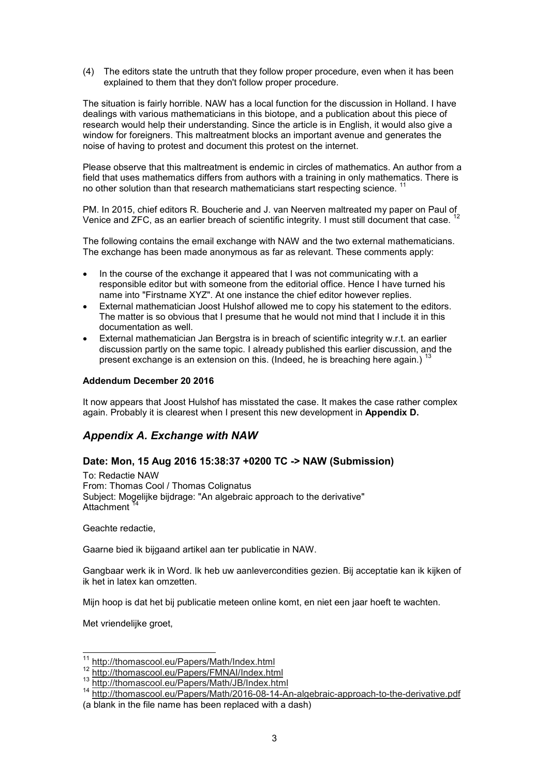(4) The editors state the untruth that they follow proper procedure, even when it has been explained to them that they don't follow proper procedure.

The situation is fairly horrible. NAW has a local function for the discussion in Holland. I have dealings with various mathematicians in this biotope, and a publication about this piece of research would help their understanding. Since the article is in English, it would also give a window for foreigners. This maltreatment blocks an important avenue and generates the noise of having to protest and document this protest on the internet.

Please observe that this maltreatment is endemic in circles of mathematics. An author from a field that uses mathematics differs from authors with a training in only mathematics. There is no other solution than that research mathematicians start respecting science.

PM. In 2015, chief editors R. Boucherie and J. van Neerven maltreated my paper on Paul of Venice and ZFC, as an earlier breach of scientific integrity. I must still document that case. <sup>12</sup>

The following contains the email exchange with NAW and the two external mathematicians. The exchange has been made anonymous as far as relevant. These comments apply:

- In the course of the exchange it appeared that I was not communicating with a responsible editor but with someone from the editorial office. Hence I have turned his name into "Firstname XYZ". At one instance the chief editor however replies.
- External mathematician Joost Hulshof allowed me to copy his statement to the editors. The matter is so obvious that I presume that he would not mind that I include it in this documentation as well.
- External mathematician Jan Bergstra is in breach of scientific integrity w.r.t. an earlier discussion partly on the same topic. I already published this earlier discussion, and the present exchange is an extension on this. (Indeed, he is breaching here again.)  $^{13}$

### **Addendum December 20 2016**

It now appears that Joost Hulshof has misstated the case. It makes the case rather complex again. Probably it is clearest when I present this new development in **Appendix D.**

# *Appendix A. Exchange with NAW*

## **Date: Mon, 15 Aug 2016 15:38:37 +0200 TC -> NAW (Submission)**

To: Redactie NAW From: Thomas Cool / Thomas Colignatus Subject: Mogelijke bijdrage: "An algebraic approach to the derivative" **Attachment** 

Geachte redactie,

Gaarne bied ik bijgaand artikel aan ter publicatie in NAW.

Gangbaar werk ik in Word. Ik heb uw aanlevercondities gezien. Bij acceptatie kan ik kijken of ik het in latex kan omzetten.

Mijn hoop is dat het bij publicatie meteen online komt, en niet een jaar hoeft te wachten.

Met vriendelijke groet,

 $\overline{a}$ 

http://thomascool.eu/Papers/Math/Index.html

<sup>12</sup> http://thomascool.eu/Papers/FMNAI/Index.html

<sup>13</sup> http://thomascool.eu/Papers/Math/JB/Index.html

<sup>14</sup> http://thomascool.eu/Papers/Math/2016-08-14-An-algebraic-approach-to-the-derivative.pdf (a blank in the file name has been replaced with a dash)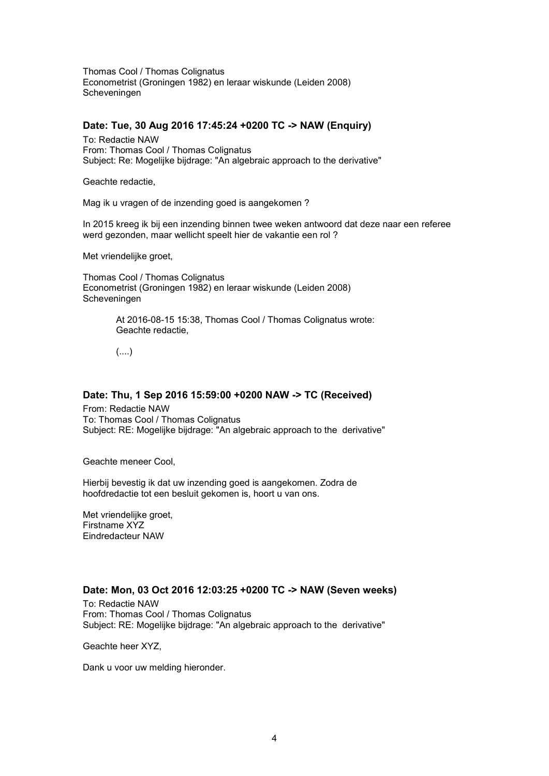Thomas Cool / Thomas Colignatus Econometrist (Groningen 1982) en leraar wiskunde (Leiden 2008) Scheveningen

## **Date: Tue, 30 Aug 2016 17:45:24 +0200 TC -> NAW (Enquiry)**

To: Redactie NAW From: Thomas Cool / Thomas Colignatus Subject: Re: Mogelijke bijdrage: "An algebraic approach to the derivative"

Geachte redactie,

Mag ik u vragen of de inzending goed is aangekomen ?

In 2015 kreeg ik bij een inzending binnen twee weken antwoord dat deze naar een referee werd gezonden, maar wellicht speelt hier de vakantie een rol ?

Met vriendelijke groet,

Thomas Cool / Thomas Colignatus Econometrist (Groningen 1982) en leraar wiskunde (Leiden 2008) Scheveningen

> At 2016-08-15 15:38, Thomas Cool / Thomas Colignatus wrote: Geachte redactie,

(....)

# **Date: Thu, 1 Sep 2016 15:59:00 +0200 NAW -> TC (Received)**

From: Redactie NAW To: Thomas Cool / Thomas Colignatus Subject: RE: Mogelijke bijdrage: "An algebraic approach to the derivative"

Geachte meneer Cool,

Hierbij bevestig ik dat uw inzending goed is aangekomen. Zodra de hoofdredactie tot een besluit gekomen is, hoort u van ons.

Met vriendelijke groet, Firstname XYZ Eindredacteur NAW

## **Date: Mon, 03 Oct 2016 12:03:25 +0200 TC -> NAW (Seven weeks)**

To: Redactie NAW From: Thomas Cool / Thomas Colignatus Subject: RE: Mogelijke bijdrage: "An algebraic approach to the derivative"

Geachte heer XYZ,

Dank u voor uw melding hieronder.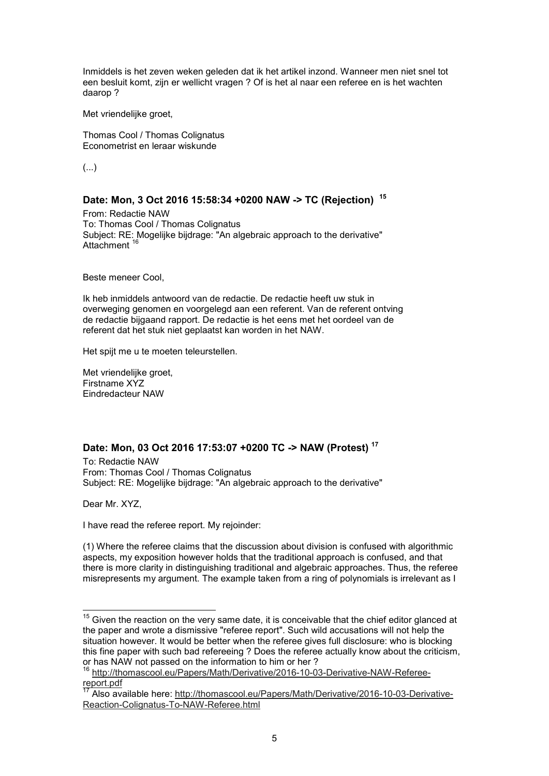Inmiddels is het zeven weken geleden dat ik het artikel inzond. Wanneer men niet snel tot een besluit komt, zijn er wellicht vragen ? Of is het al naar een referee en is het wachten daarop ?

Met vriendelijke groet,

Thomas Cool / Thomas Colignatus Econometrist en leraar wiskunde

(...)

### **Date: Mon, 3 Oct 2016 15:58:34 +0200 NAW -> TC (Rejection) <sup>15</sup>**

From: Redactie NAW To: Thomas Cool / Thomas Colignatus Subject: RE: Mogelijke bijdrage: "An algebraic approach to the derivative" Attachment

Beste meneer Cool,

Ik heb inmiddels antwoord van de redactie. De redactie heeft uw stuk in overweging genomen en voorgelegd aan een referent. Van de referent ontving de redactie bijgaand rapport. De redactie is het eens met het oordeel van de referent dat het stuk niet geplaatst kan worden in het NAW.

Het spijt me u te moeten teleurstellen.

Met vriendelijke groet, Firstname XYZ Eindredacteur NAW

## **Date: Mon, 03 Oct 2016 17:53:07 +0200 TC -> NAW (Protest) <sup>17</sup>**

To: Redactie NAW From: Thomas Cool / Thomas Colignatus Subject: RE: Mogelijke bijdrage: "An algebraic approach to the derivative"

Dear Mr. XYZ,

 $\overline{a}$ 

I have read the referee report. My rejoinder:

(1) Where the referee claims that the discussion about division is confused with algorithmic aspects, my exposition however holds that the traditional approach is confused, and that there is more clarity in distinguishing traditional and algebraic approaches. Thus, the referee misrepresents my argument. The example taken from a ring of polynomials is irrelevant as I

 $^{\rm 15}$  Given the reaction on the very same date, it is conceivable that the chief editor glanced at the paper and wrote a dismissive "referee report". Such wild accusations will not help the situation however. It would be better when the referee gives full disclosure: who is blocking this fine paper with such bad refereeing ? Does the referee actually know about the criticism, or has NAW not passed on the information to him or her ?

<sup>16</sup> http://thomascool.eu/Papers/Math/Derivative/2016-10-03-Derivative-NAW-Refereereport.pdf

Also available here: http://thomascool.eu/Papers/Math/Derivative/2016-10-03-Derivative-Reaction-Colignatus-To-NAW-Referee.html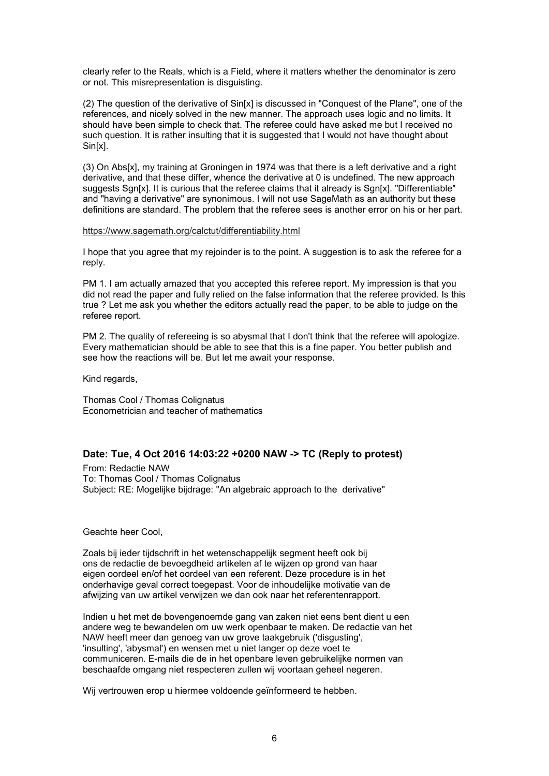clearly refer to the Reals, which is a Field, where it matters whether the denominator is zero or not. This misrepresentation is disguisting.

(2) The question of the derivative of Sin[x] is discussed in "Conquest of the Plane", one of the references, and nicely solved in the new manner. The approach uses logic and no limits. It should have been simple to check that. The referee could have asked me but I received no such question. It is rather insulting that it is suggested that I would not have thought about Sin[x].

(3) On Abs[x], my training at Groningen in 1974 was that there is a left derivative and a right derivative, and that these differ, whence the derivative at 0 is undefined. The new approach suggests Sgn[x]. It is curious that the referee claims that it already is Sgn[x]. "Differentiable" and "having a derivative" are synonimous. I will not use SageMath as an authority but these definitions are standard. The problem that the referee sees is another error on his or her part.

#### https://www.sagemath.org/calctut/differentiability.html

I hope that you agree that my rejoinder is to the point. A suggestion is to ask the referee for a reply.

PM 1. I am actually amazed that you accepted this referee report. My impression is that you did not read the paper and fully relied on the false information that the referee provided. Is this true ? Let me ask you whether the editors actually read the paper, to be able to judge on the referee report.

PM 2. The quality of refereeing is so abysmal that I don't think that the referee will apologize. Every mathematician should be able to see that this is a fine paper. You better publish and see how the reactions will be. But let me await your response.

Kind regards,

Thomas Cool / Thomas Colignatus Econometrician and teacher of mathematics

## **Date: Tue, 4 Oct 2016 14:03:22 +0200 NAW -> TC (Reply to protest)**

From: Redactie NAW To: Thomas Cool / Thomas Colignatus Subject: RE: Mogelijke bijdrage: "An algebraic approach to the derivative"

Geachte heer Cool,

Zoals bij ieder tijdschrift in het wetenschappelijk segment heeft ook bij ons de redactie de bevoegdheid artikelen af te wijzen op grond van haar eigen oordeel en/of het oordeel van een referent. Deze procedure is in het onderhavige geval correct toegepast. Voor de inhoudelijke motivatie van de afwijzing van uw artikel verwijzen we dan ook naar het referentenrapport.

Indien u het met de bovengenoemde gang van zaken niet eens bent dient u een andere weg te bewandelen om uw werk openbaar te maken. De redactie van het NAW heeft meer dan genoeg van uw grove taakgebruik ('disgusting', 'insulting', 'abysmal') en wensen met u niet langer op deze voet te communiceren. E-mails die de in het openbare leven gebruikelijke normen van beschaafde omgang niet respecteren zullen wij voortaan geheel negeren.

Wij vertrouwen erop u hiermee voldoende geïnformeerd te hebben.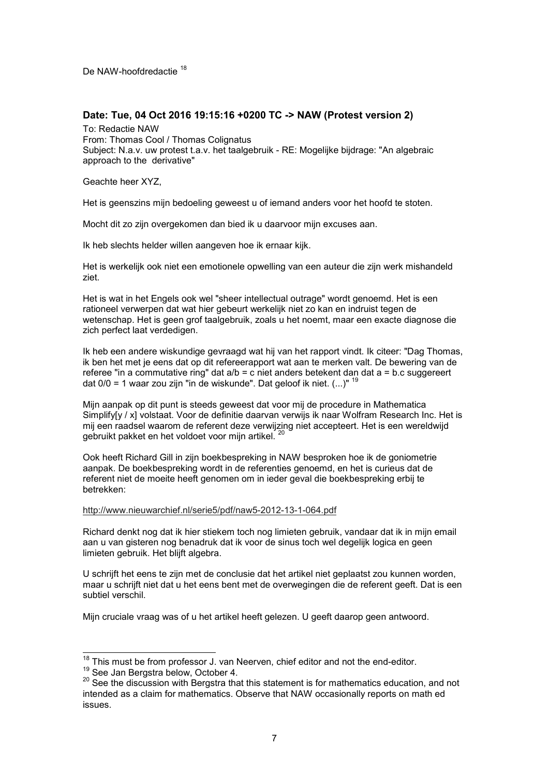De NAW-hoofdredactie 18

## **Date: Tue, 04 Oct 2016 19:15:16 +0200 TC -> NAW (Protest version 2)**

To: Redactie NAW From: Thomas Cool / Thomas Colignatus Subject: N.a.v. uw protest t.a.v. het taalgebruik - RE: Mogelijke bijdrage: "An algebraic approach to the derivative"

Geachte heer XYZ,

Het is geenszins mijn bedoeling geweest u of iemand anders voor het hoofd te stoten.

Mocht dit zo zijn overgekomen dan bied ik u daarvoor mijn excuses aan.

Ik heb slechts helder willen aangeven hoe ik ernaar kijk.

Het is werkelijk ook niet een emotionele opwelling van een auteur die zijn werk mishandeld ziet.

Het is wat in het Engels ook wel "sheer intellectual outrage" wordt genoemd. Het is een rationeel verwerpen dat wat hier gebeurt werkelijk niet zo kan en indruist tegen de wetenschap. Het is geen grof taalgebruik, zoals u het noemt, maar een exacte diagnose die zich perfect laat verdedigen.

Ik heb een andere wiskundige gevraagd wat hij van het rapport vindt. Ik citeer: "Dag Thomas, ik ben het met je eens dat op dit refereerapport wat aan te merken valt. De bewering van de referee "in a commutative ring" dat a/b = c niet anders betekent dan dat a = b.c suggereert dat  $0/0$  = 1 waar zou zijn "in de wiskunde". Dat geloof ik niet.  $(...)$ " <sup>19</sup>

Mijn aanpak op dit punt is steeds geweest dat voor mij de procedure in Mathematica Simplify[y / x] volstaat. Voor de definitie daarvan verwijs ik naar Wolfram Research Inc. Het is mij een raadsel waarom de referent deze verwijzing niet accepteert. Het is een wereldwijd gebruikt pakket en het voldoet voor mijn artikel.

Ook heeft Richard Gill in zijn boekbespreking in NAW besproken hoe ik de goniometrie aanpak. De boekbespreking wordt in de referenties genoemd, en het is curieus dat de referent niet de moeite heeft genomen om in ieder geval die boekbespreking erbij te betrekken:

### http://www.nieuwarchief.nl/serie5/pdf/naw5-2012-13-1-064.pdf

Richard denkt nog dat ik hier stiekem toch nog limieten gebruik, vandaar dat ik in mijn email aan u van gisteren nog benadruk dat ik voor de sinus toch wel degelijk logica en geen limieten gebruik. Het blijft algebra.

U schrijft het eens te zijn met de conclusie dat het artikel niet geplaatst zou kunnen worden, maar u schrijft niet dat u het eens bent met de overwegingen die de referent geeft. Dat is een subtiel verschil.

Mijn cruciale vraag was of u het artikel heeft gelezen. U geeft daarop geen antwoord.

 $\overline{a}$ 

 $18$  This must be from professor J. van Neerven, chief editor and not the end-editor.

<sup>19</sup> See Jan Bergstra below, October 4.

 $20$  See the discussion with Bergstra that this statement is for mathematics education, and not intended as a claim for mathematics. Observe that NAW occasionally reports on math ed issues.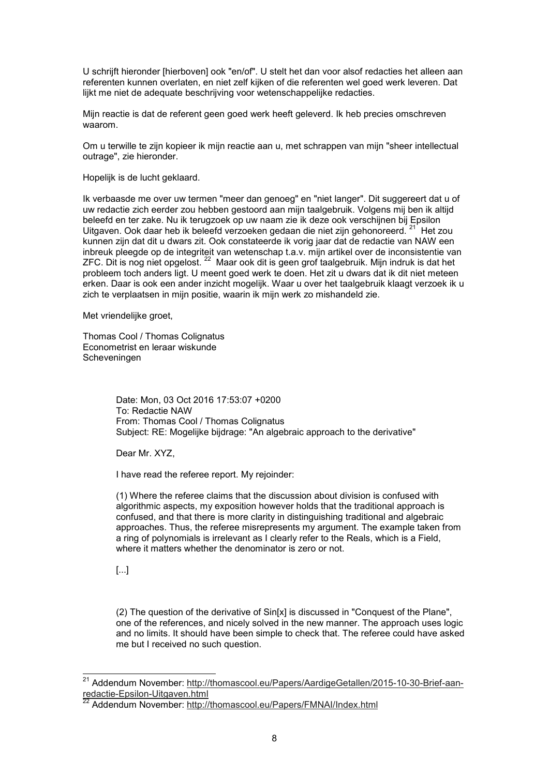U schrijft hieronder [hierboven] ook "en/of". U stelt het dan voor alsof redacties het alleen aan referenten kunnen overlaten, en niet zelf kijken of die referenten wel goed werk leveren. Dat lijkt me niet de adequate beschrijving voor wetenschappelijke redacties.

Mijn reactie is dat de referent geen goed werk heeft geleverd. Ik heb precies omschreven waarom.

Om u terwille te zijn kopieer ik mijn reactie aan u, met schrappen van mijn "sheer intellectual outrage", zie hieronder.

Hopelijk is de lucht geklaard.

Ik verbaasde me over uw termen "meer dan genoeg" en "niet langer". Dit suggereert dat u of uw redactie zich eerder zou hebben gestoord aan mijn taalgebruik. Volgens mij ben ik altijd beleefd en ter zake. Nu ik terugzoek op uw naam zie ik deze ook verschijnen bij Epsilon Uitgaven. Ook daar heb ik beleefd verzoeken gedaan die niet zijn gehonoreerd. <sup>21</sup> Het zou kunnen zijn dat dit u dwars zit. Ook constateerde ik vorig jaar dat de redactie van NAW een inbreuk pleegde op de integriteit van wetenschap t.a.v. mijn artikel over de inconsistentie van ZFC. Dit is nog niet opgelost. <sup>22</sup> Maar ook dit is geen grof taalgebruik. Mijn indruk is dat het probleem toch anders ligt. U meent goed werk te doen. Het zit u dwars dat ik dit niet meteen erken. Daar is ook een ander inzicht mogelijk. Waar u over het taalgebruik klaagt verzoek ik u zich te verplaatsen in mijn positie, waarin ik mijn werk zo mishandeld zie.

Met vriendelijke groet,

Thomas Cool / Thomas Colignatus Econometrist en leraar wiskunde Scheveningen

> Date: Mon, 03 Oct 2016 17:53:07 +0200 To: Redactie NAW From: Thomas Cool / Thomas Colignatus Subject: RE: Mogelijke bijdrage: "An algebraic approach to the derivative"

Dear Mr. XYZ,

I have read the referee report. My rejoinder:

(1) Where the referee claims that the discussion about division is confused with algorithmic aspects, my exposition however holds that the traditional approach is confused, and that there is more clarity in distinguishing traditional and algebraic approaches. Thus, the referee misrepresents my argument. The example taken from a ring of polynomials is irrelevant as I clearly refer to the Reals, which is a Field, where it matters whether the denominator is zero or not.

[...]

 $\overline{a}$ 

(2) The question of the derivative of Sin[x] is discussed in "Conquest of the Plane", one of the references, and nicely solved in the new manner. The approach uses logic and no limits. It should have been simple to check that. The referee could have asked me but I received no such question.

<sup>&</sup>lt;sup>21</sup> Addendum November: <u>http://thomascool.eu/Papers/AardigeGetallen/2015-10-30-Brief-aan-</u> redactie-Epsilon-Uitgaven.html

Addendum November: http://thomascool.eu/Papers/FMNAI/Index.html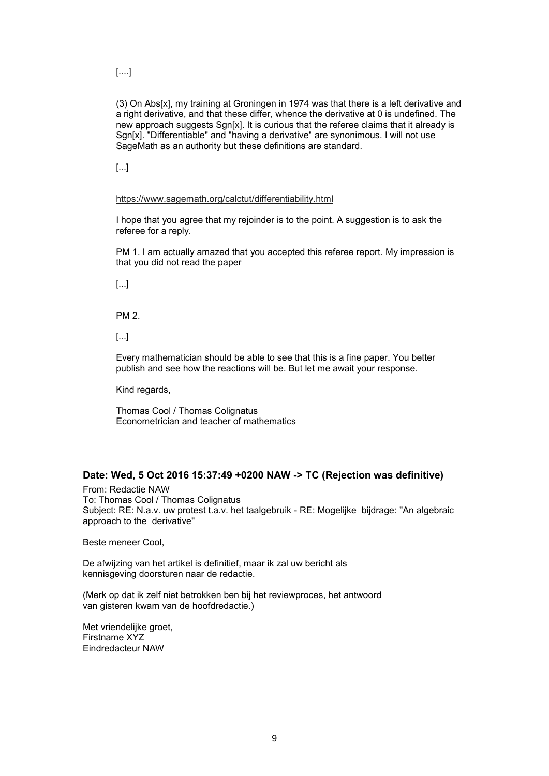[....]

(3) On Abs[x], my training at Groningen in 1974 was that there is a left derivative and a right derivative, and that these differ, whence the derivative at 0 is undefined. The new approach suggests Sgn[x]. It is curious that the referee claims that it already is Sgn[x]. "Differentiable" and "having a derivative" are synonimous. I will not use SageMath as an authority but these definitions are standard.

[...]

### https://www.sagemath.org/calctut/differentiability.html

I hope that you agree that my rejoinder is to the point. A suggestion is to ask the referee for a reply.

PM 1. I am actually amazed that you accepted this referee report. My impression is that you did not read the paper

[...]

PM 2.

[...]

Every mathematician should be able to see that this is a fine paper. You better publish and see how the reactions will be. But let me await your response.

Kind regards,

Thomas Cool / Thomas Colignatus Econometrician and teacher of mathematics

## **Date: Wed, 5 Oct 2016 15:37:49 +0200 NAW -> TC (Rejection was definitive)**

From: Redactie NAW To: Thomas Cool / Thomas Colignatus Subject: RE: N.a.v. uw protest t.a.v. het taalgebruik - RE: Mogelijke bijdrage: "An algebraic approach to the derivative"

Beste meneer Cool,

De afwijzing van het artikel is definitief, maar ik zal uw bericht als kennisgeving doorsturen naar de redactie.

(Merk op dat ik zelf niet betrokken ben bij het reviewproces, het antwoord van gisteren kwam van de hoofdredactie.)

Met vriendelijke groet, Firstname XYZ Eindredacteur NAW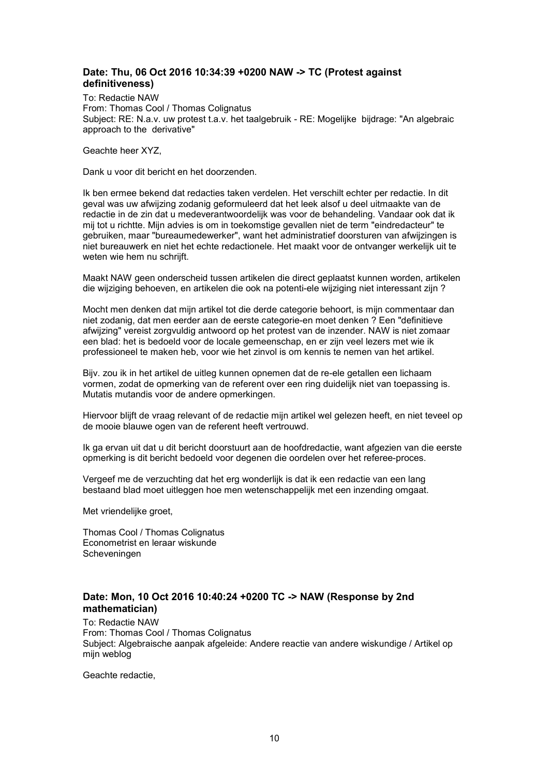# **Date: Thu, 06 Oct 2016 10:34:39 +0200 NAW -> TC (Protest against definitiveness)**

To: Redactie NAW From: Thomas Cool / Thomas Colignatus Subject: RE: N.a.v. uw protest t.a.v. het taalgebruik - RE: Mogelijke bijdrage: "An algebraic approach to the derivative"

Geachte heer XYZ,

Dank u voor dit bericht en het doorzenden.

Ik ben ermee bekend dat redacties taken verdelen. Het verschilt echter per redactie. In dit geval was uw afwijzing zodanig geformuleerd dat het leek alsof u deel uitmaakte van de redactie in de zin dat u medeverantwoordelijk was voor de behandeling. Vandaar ook dat ik mij tot u richtte. Mijn advies is om in toekomstige gevallen niet de term "eindredacteur" te gebruiken, maar "bureaumedewerker", want het administratief doorsturen van afwijzingen is niet bureauwerk en niet het echte redactionele. Het maakt voor de ontvanger werkelijk uit te weten wie hem nu schrijft.

Maakt NAW geen onderscheid tussen artikelen die direct geplaatst kunnen worden, artikelen die wijziging behoeven, en artikelen die ook na potenti-ele wijziging niet interessant zijn ?

Mocht men denken dat mijn artikel tot die derde categorie behoort, is mijn commentaar dan niet zodanig, dat men eerder aan de eerste categorie-en moet denken ? Een "definitieve afwijzing" vereist zorgvuldig antwoord op het protest van de inzender. NAW is niet zomaar een blad: het is bedoeld voor de locale gemeenschap, en er zijn veel lezers met wie ik professioneel te maken heb, voor wie het zinvol is om kennis te nemen van het artikel.

Bijv. zou ik in het artikel de uitleg kunnen opnemen dat de re-ele getallen een lichaam vormen, zodat de opmerking van de referent over een ring duidelijk niet van toepassing is. Mutatis mutandis voor de andere opmerkingen.

Hiervoor blijft de vraag relevant of de redactie mijn artikel wel gelezen heeft, en niet teveel op de mooie blauwe ogen van de referent heeft vertrouwd.

Ik ga ervan uit dat u dit bericht doorstuurt aan de hoofdredactie, want afgezien van die eerste opmerking is dit bericht bedoeld voor degenen die oordelen over het referee-proces.

Vergeef me de verzuchting dat het erg wonderlijk is dat ik een redactie van een lang bestaand blad moet uitleggen hoe men wetenschappelijk met een inzending omgaat.

Met vriendelijke groet,

Thomas Cool / Thomas Colignatus Econometrist en leraar wiskunde Scheveningen

## **Date: Mon, 10 Oct 2016 10:40:24 +0200 TC -> NAW (Response by 2nd mathematician)**

To: Redactie NAW From: Thomas Cool / Thomas Colignatus Subject: Algebraische aanpak afgeleide: Andere reactie van andere wiskundige / Artikel op mijn weblog

Geachte redactie,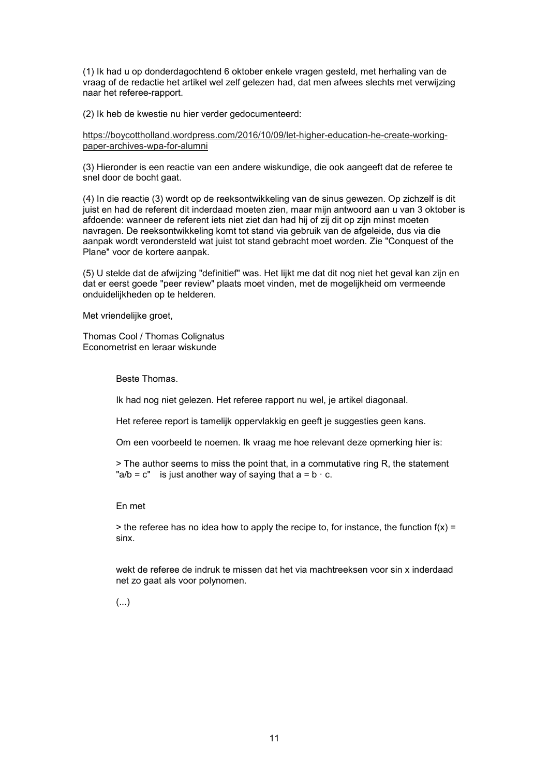(1) Ik had u op donderdagochtend 6 oktober enkele vragen gesteld, met herhaling van de vraag of de redactie het artikel wel zelf gelezen had, dat men afwees slechts met verwijzing naar het referee-rapport.

(2) Ik heb de kwestie nu hier verder gedocumenteerd:

https://boycottholland.wordpress.com/2016/10/09/let-higher-education-he-create-workingpaper-archives-wpa-for-alumni

(3) Hieronder is een reactie van een andere wiskundige, die ook aangeeft dat de referee te snel door de bocht gaat.

(4) In die reactie (3) wordt op de reeksontwikkeling van de sinus gewezen. Op zichzelf is dit juist en had de referent dit inderdaad moeten zien, maar mijn antwoord aan u van 3 oktober is afdoende: wanneer de referent iets niet ziet dan had hij of zij dit op zijn minst moeten navragen. De reeksontwikkeling komt tot stand via gebruik van de afgeleide, dus via die aanpak wordt verondersteld wat juist tot stand gebracht moet worden. Zie "Conquest of the Plane" voor de kortere aanpak.

(5) U stelde dat de afwijzing "definitief" was. Het lijkt me dat dit nog niet het geval kan zijn en dat er eerst goede "peer review" plaats moet vinden, met de mogelijkheid om vermeende onduidelijkheden op te helderen.

Met vriendelijke groet,

Thomas Cool / Thomas Colignatus Econometrist en leraar wiskunde

Beste Thomas.

Ik had nog niet gelezen. Het referee rapport nu wel, je artikel diagonaal.

Het referee report is tamelijk oppervlakkig en geeft je suggesties geen kans.

Om een voorbeeld te noemen. Ik vraag me hoe relevant deze opmerking hier is:

> The author seems to miss the point that, in a commutative ring R, the statement "a/b = c" is just another way of saying that  $a = b \cdot c$ .

### En met

 $>$  the referee has no idea how to apply the recipe to, for instance, the function f(x) = sinx.

wekt de referee de indruk te missen dat het via machtreeksen voor sin x inderdaad net zo gaat als voor polynomen.

(...)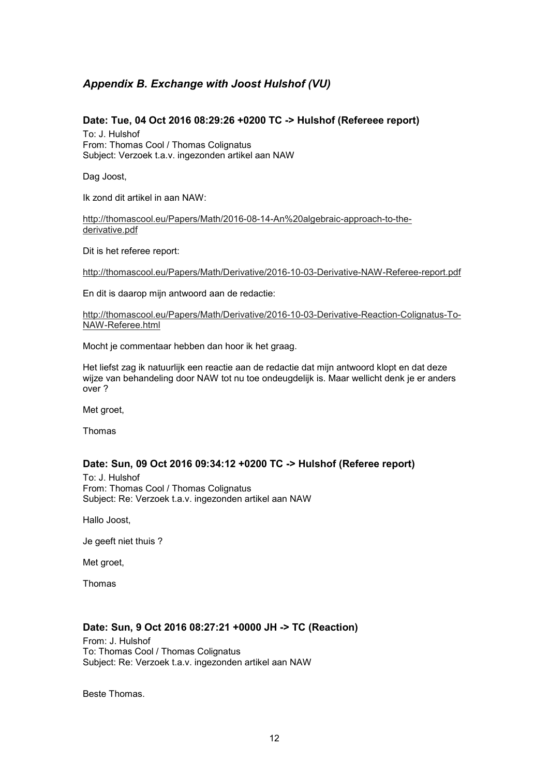# *Appendix B. Exchange with Joost Hulshof (VU)*

## **Date: Tue, 04 Oct 2016 08:29:26 +0200 TC -> Hulshof (Refereee report)**

To: J. Hulshof From: Thomas Cool / Thomas Colignatus Subject: Verzoek t.a.v. ingezonden artikel aan NAW

Dag Joost,

Ik zond dit artikel in aan NAW:

http://thomascool.eu/Papers/Math/2016-08-14-An%20algebraic-approach-to-thederivative.pdf

Dit is het referee report:

http://thomascool.eu/Papers/Math/Derivative/2016-10-03-Derivative-NAW-Referee-report.pdf

En dit is daarop mijn antwoord aan de redactie:

http://thomascool.eu/Papers/Math/Derivative/2016-10-03-Derivative-Reaction-Colignatus-To-NAW-Referee.html

Mocht je commentaar hebben dan hoor ik het graag.

Het liefst zag ik natuurlijk een reactie aan de redactie dat mijn antwoord klopt en dat deze wijze van behandeling door NAW tot nu toe ondeugdelijk is. Maar wellicht denk je er anders over ?

Met groet,

Thomas

## **Date: Sun, 09 Oct 2016 09:34:12 +0200 TC -> Hulshof (Referee report)**

To: J. Hulshof From: Thomas Cool / Thomas Colignatus Subject: Re: Verzoek t.a.v. ingezonden artikel aan NAW

Hallo Joost,

Je geeft niet thuis ?

Met groet,

Thomas

## **Date: Sun, 9 Oct 2016 08:27:21 +0000 JH -> TC (Reaction)**

From: J. Hulshof To: Thomas Cool / Thomas Colignatus Subject: Re: Verzoek t.a.v. ingezonden artikel aan NAW

Beste Thomas.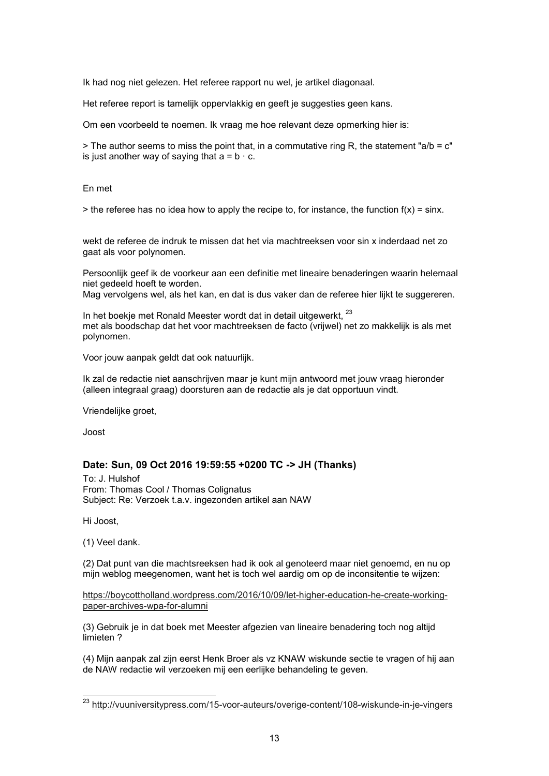Ik had nog niet gelezen. Het referee rapport nu wel, je artikel diagonaal.

Het referee report is tamelijk oppervlakkig en geeft je suggesties geen kans.

Om een voorbeeld te noemen. Ik vraag me hoe relevant deze opmerking hier is:

> The author seems to miss the point that, in a commutative ring R, the statement "a/b =  $c$ " is just another way of saying that  $a = b \cdot c$ .

En met

 $>$  the referee has no idea how to apply the recipe to, for instance, the function  $f(x) = \sin x$ .

wekt de referee de indruk te missen dat het via machtreeksen voor sin x inderdaad net zo gaat als voor polynomen.

Persoonlijk geef ik de voorkeur aan een definitie met lineaire benaderingen waarin helemaal niet gedeeld hoeft te worden.

Mag vervolgens wel, als het kan, en dat is dus vaker dan de referee hier lijkt te suggereren.

In het boekje met Ronald Meester wordt dat in detail uitgewerkt, 23 met als boodschap dat het voor machtreeksen de facto (vrijwel) net zo makkelijk is als met polynomen.

Voor jouw aanpak geldt dat ook natuurlijk.

Ik zal de redactie niet aanschrijven maar je kunt mijn antwoord met jouw vraag hieronder (alleen integraal graag) doorsturen aan de redactie als je dat opportuun vindt.

Vriendelijke groet,

Joost

## **Date: Sun, 09 Oct 2016 19:59:55 +0200 TC -> JH (Thanks)**

To: J. Hulshof From: Thomas Cool / Thomas Colignatus Subject: Re: Verzoek t.a.v. ingezonden artikel aan NAW

Hi Joost,

 $\overline{a}$ 

(1) Veel dank.

(2) Dat punt van die machtsreeksen had ik ook al genoteerd maar niet genoemd, en nu op mijn weblog meegenomen, want het is toch wel aardig om op de inconsitentie te wijzen:

https://boycottholland.wordpress.com/2016/10/09/let-higher-education-he-create-workingpaper-archives-wpa-for-alumni

(3) Gebruik je in dat boek met Meester afgezien van lineaire benadering toch nog altijd limieten ?

(4) Mijn aanpak zal zijn eerst Henk Broer als vz KNAW wiskunde sectie te vragen of hij aan de NAW redactie wil verzoeken mij een eerlijke behandeling te geven.

<sup>&</sup>lt;sup>23</sup> http://vuuniversitypress.com/15-voor-auteurs/overige-content/108-wiskunde-in-je-vingers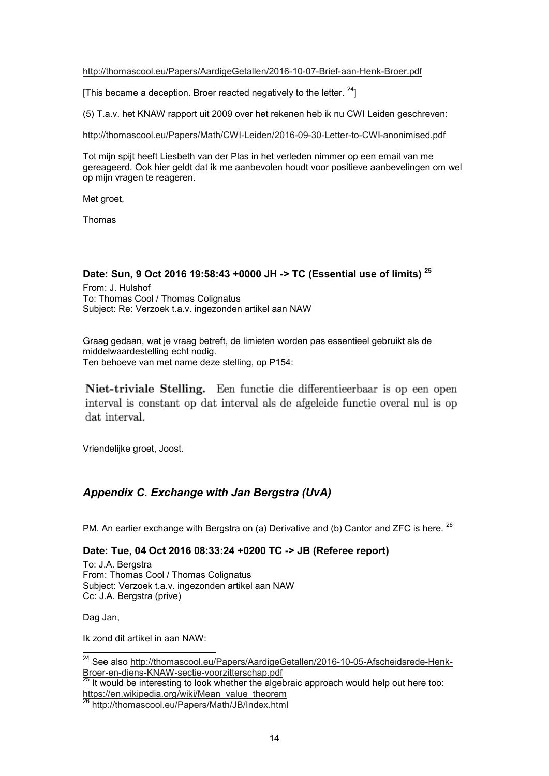### http://thomascool.eu/Papers/AardigeGetallen/2016-10-07-Brief-aan-Henk-Broer.pdf

[This became a deception. Broer reacted negatively to the letter.  $24$ ]

(5) T.a.v. het KNAW rapport uit 2009 over het rekenen heb ik nu CWI Leiden geschreven:

http://thomascool.eu/Papers/Math/CWI-Leiden/2016-09-30-Letter-to-CWI-anonimised.pdf

Tot mijn spijt heeft Liesbeth van der Plas in het verleden nimmer op een email van me gereageerd. Ook hier geldt dat ik me aanbevolen houdt voor positieve aanbevelingen om wel op mijn vragen te reageren.

Met groet,

Thomas

# **Date: Sun, 9 Oct 2016 19:58:43 +0000 JH -> TC (Essential use of limits) <sup>25</sup>**

From: J. Hulshof To: Thomas Cool / Thomas Colignatus Subject: Re: Verzoek t.a.v. ingezonden artikel aan NAW

Graag gedaan, wat je vraag betreft, de limieten worden pas essentieel gebruikt als de middelwaardestelling echt nodig. Ten behoeve van met name deze stelling, op P154:

Niet-triviale Stelling. Een functie die differentieerbaar is op een open interval is constant op dat interval als de afgeleide functie overal nul is op dat interval.

Vriendelijke groet, Joost.

# *Appendix C. Exchange with Jan Bergstra (UvA)*

PM. An earlier exchange with Bergstra on (a) Derivative and (b) Cantor and ZFC is here.  $^{26}$ 

# **Date: Tue, 04 Oct 2016 08:33:24 +0200 TC -> JB (Referee report)**

To: J.A. Bergstra From: Thomas Cool / Thomas Colignatus Subject: Verzoek t.a.v. ingezonden artikel aan NAW Cc: J.A. Bergstra (prive)

Dag Jan,

 $\overline{a}$ 

Ik zond dit artikel in aan NAW:

<sup>&</sup>lt;sup>24</sup> See also <u>http://thomascool.eu/Papers/AardigeGetallen/2016-10-05-Afscheidsrede-Henk-</u> Broer-en-diens-KNAW-sectie-voorzitterschap.pdf

<sup>25</sup> It would be interesting to look whether the algebraic approach would help out here too: https://en.wikipedia.org/wiki/Mean\_value\_theorem

<sup>26</sup> http://thomascool.eu/Papers/Math/JB/Index.html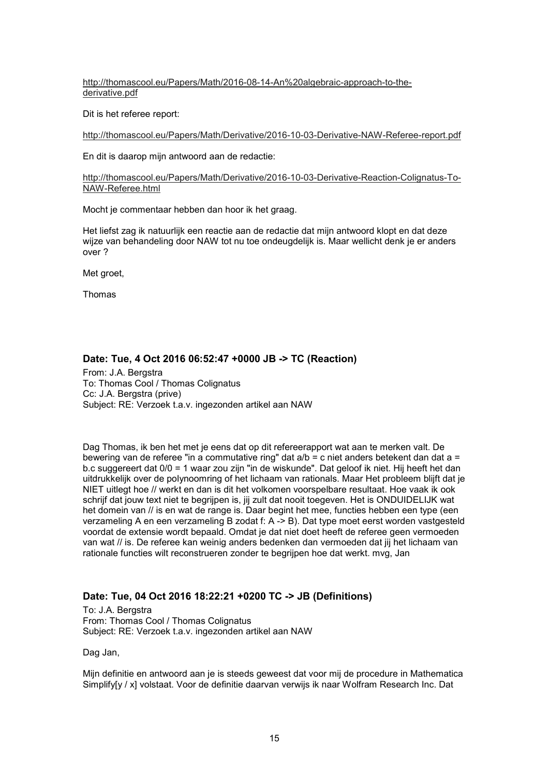http://thomascool.eu/Papers/Math/2016-08-14-An%20algebraic-approach-to-thederivative.pdf

Dit is het referee report:

http://thomascool.eu/Papers/Math/Derivative/2016-10-03-Derivative-NAW-Referee-report.pdf

En dit is daarop mijn antwoord aan de redactie:

http://thomascool.eu/Papers/Math/Derivative/2016-10-03-Derivative-Reaction-Colignatus-To-NAW-Referee.html

Mocht je commentaar hebben dan hoor ik het graag.

Het liefst zag ik natuurlijk een reactie aan de redactie dat mijn antwoord klopt en dat deze wijze van behandeling door NAW tot nu toe ondeugdelijk is. Maar wellicht denk je er anders over ?

Met groet,

Thomas

## **Date: Tue, 4 Oct 2016 06:52:47 +0000 JB -> TC (Reaction)**

From: J.A. Bergstra To: Thomas Cool / Thomas Colignatus Cc: J.A. Bergstra (prive) Subject: RE: Verzoek t.a.v. ingezonden artikel aan NAW

Dag Thomas, ik ben het met je eens dat op dit refereerapport wat aan te merken valt. De bewering van de referee "in a commutative ring" dat a/b = c niet anders betekent dan dat a = b.c suggereert dat 0/0 = 1 waar zou zijn "in de wiskunde". Dat geloof ik niet. Hij heeft het dan uitdrukkelijk over de polynoomring of het lichaam van rationals. Maar Het probleem blijft dat je NIET uitlegt hoe // werkt en dan is dit het volkomen voorspelbare resultaat. Hoe vaak ik ook schrijf dat jouw text niet te begrijpen is, jij zult dat nooit toegeven. Het is ONDUIDELIJK wat het domein van // is en wat de range is. Daar begint het mee, functies hebben een type (een verzameling A en een verzameling B zodat f: A -> B). Dat type moet eerst worden vastgesteld voordat de extensie wordt bepaald. Omdat je dat niet doet heeft de referee geen vermoeden van wat // is. De referee kan weinig anders bedenken dan vermoeden dat jij het lichaam van rationale functies wilt reconstrueren zonder te begrijpen hoe dat werkt. mvg, Jan

## **Date: Tue, 04 Oct 2016 18:22:21 +0200 TC -> JB (Definitions)**

To: J.A. Bergstra From: Thomas Cool / Thomas Colignatus Subject: RE: Verzoek t.a.v. ingezonden artikel aan NAW

Dag Jan,

Mijn definitie en antwoord aan je is steeds geweest dat voor mij de procedure in Mathematica Simplify[y / x] volstaat. Voor de definitie daarvan verwijs ik naar Wolfram Research Inc. Dat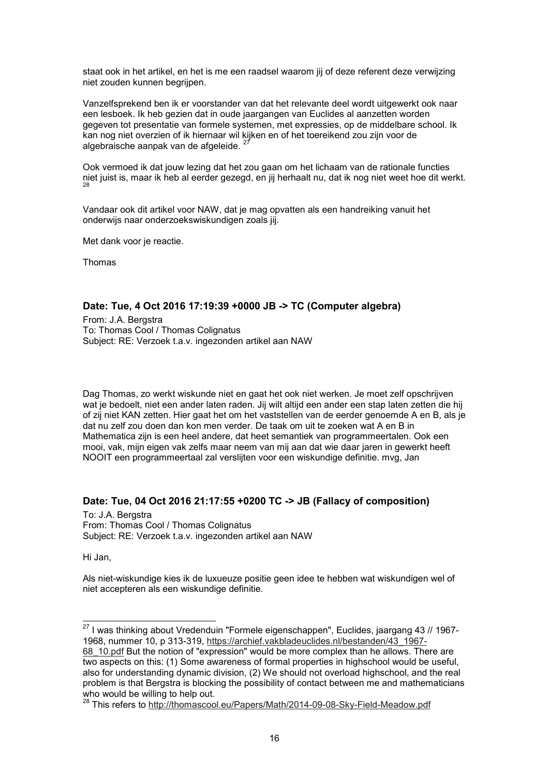staat ook in het artikel, en het is me een raadsel waarom jij of deze referent deze verwijzing niet zouden kunnen begrijpen.

Vanzelfsprekend ben ik er voorstander van dat het relevante deel wordt uitgewerkt ook naar een lesboek. Ik heb gezien dat in oude jaargangen van Euclides al aanzetten worden gegeven tot presentatie van formele systemen, met expressies, op de middelbare school. Ik kan nog niet overzien of ik hiernaar wil kijken en of het toereikend zou zijn voor de algebraische aanpak van de afgeleide.

Ook vermoed ik dat jouw lezing dat het zou gaan om het lichaam van de rationale functies niet juist is, maar ik heb al eerder gezegd, en jij herhaalt nu, dat ik nog niet weet hoe dit werkt.<br><sup>28</sup>

Vandaar ook dit artikel voor NAW, dat je mag opvatten als een handreiking vanuit het onderwijs naar onderzoekswiskundigen zoals jij.

Met dank voor je reactie.

Thomas

## **Date: Tue, 4 Oct 2016 17:19:39 +0000 JB -> TC (Computer algebra)**

From: J.A. Bergstra To: Thomas Cool / Thomas Colignatus Subject: RE: Verzoek t.a.v. ingezonden artikel aan NAW

Dag Thomas, zo werkt wiskunde niet en gaat het ook niet werken. Je moet zelf opschrijven wat je bedoelt, niet een ander laten raden. Jij wilt altijd een ander een stap laten zetten die hij of zij niet KAN zetten. Hier gaat het om het vaststellen van de eerder genoemde A en B, als je dat nu zelf zou doen dan kon men verder. De taak om uit te zoeken wat A en B in Mathematica zijn is een heel andere, dat heet semantiek van programmeertalen. Ook een mooi, vak, mijn eigen vak zelfs maar neem van mij aan dat wie daar jaren in gewerkt heeft NOOIT een programmeertaal zal verslijten voor een wiskundige definitie. mvg, Jan

### **Date: Tue, 04 Oct 2016 21:17:55 +0200 TC -> JB (Fallacy of composition)**

To: J.A. Bergstra From: Thomas Cool / Thomas Colignatus Subject: RE: Verzoek t.a.v. ingezonden artikel aan NAW

Hi Jan,

 $\overline{a}$ 

Als niet-wiskundige kies ik de luxueuze positie geen idee te hebben wat wiskundigen wel of niet accepteren als een wiskundige definitie.

 $^{27}$  I was thinking about Vredenduin "Formele eigenschappen", Euclides, jaargang 43 // 1967-1968, nummer 10, p 313-319, https://archief.vakbladeuclides.nl/bestanden/43\_1967- 68\_10.pdf But the notion of "expression" would be more complex than he allows. There are

two aspects on this: (1) Some awareness of formal properties in highschool would be useful, also for understanding dynamic division, (2) We should not overload highschool, and the real problem is that Bergstra is blocking the possibility of contact between me and mathematicians who would be willing to help out.

<sup>&</sup>lt;sup>28</sup> This refers to http://thomascool.eu/Papers/Math/2014-09-08-Sky-Field-Meadow.pdf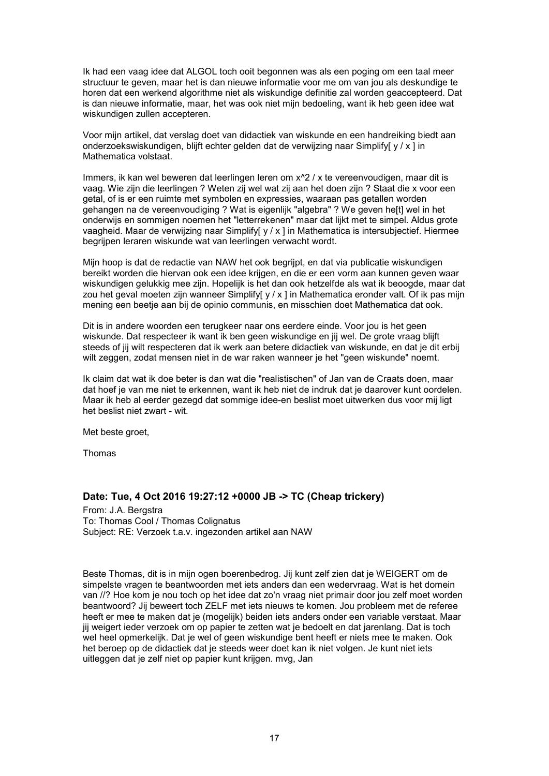Ik had een vaag idee dat ALGOL toch ooit begonnen was als een poging om een taal meer structuur te geven, maar het is dan nieuwe informatie voor me om van jou als deskundige te horen dat een werkend algorithme niet als wiskundige definitie zal worden geaccepteerd. Dat is dan nieuwe informatie, maar, het was ook niet mijn bedoeling, want ik heb geen idee wat wiskundigen zullen accepteren.

Voor mijn artikel, dat verslag doet van didactiek van wiskunde en een handreiking biedt aan onderzoekswiskundigen, blijft echter gelden dat de verwijzing naar Simplify[ y / x ] in Mathematica volstaat.

Immers, ik kan wel beweren dat leerlingen leren om x^2 / x te vereenvoudigen, maar dit is vaag. Wie zijn die leerlingen ? Weten zij wel wat zij aan het doen zijn ? Staat die x voor een getal, of is er een ruimte met symbolen en expressies, waaraan pas getallen worden gehangen na de vereenvoudiging ? Wat is eigenlijk "algebra" ? We geven he[t] wel in het onderwijs en sommigen noemen het "letterrekenen" maar dat lijkt met te simpel. Aldus grote vaagheid. Maar de verwijzing naar Simplify[ y / x ] in Mathematica is intersubjectief. Hiermee begrijpen leraren wiskunde wat van leerlingen verwacht wordt.

Mijn hoop is dat de redactie van NAW het ook begrijpt, en dat via publicatie wiskundigen bereikt worden die hiervan ook een idee krijgen, en die er een vorm aan kunnen geven waar wiskundigen gelukkig mee zijn. Hopelijk is het dan ook hetzelfde als wat ik beoogde, maar dat zou het geval moeten zijn wanneer Simplify[ y / x ] in Mathematica eronder valt. Of ik pas mijn mening een beetje aan bij de opinio communis, en misschien doet Mathematica dat ook.

Dit is in andere woorden een terugkeer naar ons eerdere einde. Voor jou is het geen wiskunde. Dat respecteer ik want ik ben geen wiskundige en jij wel. De grote vraag blijft steeds of jij wilt respecteren dat ik werk aan betere didactiek van wiskunde, en dat je dit erbij wilt zeggen, zodat mensen niet in de war raken wanneer je het "geen wiskunde" noemt.

Ik claim dat wat ik doe beter is dan wat die "realistischen" of Jan van de Craats doen, maar dat hoef je van me niet te erkennen, want ik heb niet de indruk dat je daarover kunt oordelen. Maar ik heb al eerder gezegd dat sommige idee-en beslist moet uitwerken dus voor mij ligt het beslist niet zwart - wit.

Met beste groet,

Thomas

### **Date: Tue, 4 Oct 2016 19:27:12 +0000 JB -> TC (Cheap trickery)**

From: J.A. Bergstra To: Thomas Cool / Thomas Colignatus Subject: RE: Verzoek t.a.v. ingezonden artikel aan NAW

Beste Thomas, dit is in mijn ogen boerenbedrog. Jij kunt zelf zien dat je WEIGERT om de simpelste vragen te beantwoorden met iets anders dan een wedervraag. Wat is het domein van //? Hoe kom je nou toch op het idee dat zo'n vraag niet primair door jou zelf moet worden beantwoord? Jij beweert toch ZELF met iets nieuws te komen. Jou probleem met de referee heeft er mee te maken dat je (mogelijk) beiden iets anders onder een variable verstaat. Maar jij weigert ieder verzoek om op papier te zetten wat je bedoelt en dat jarenlang. Dat is toch wel heel opmerkelijk. Dat je wel of geen wiskundige bent heeft er niets mee te maken. Ook het beroep op de didactiek dat je steeds weer doet kan ik niet volgen. Je kunt niet iets uitleggen dat je zelf niet op papier kunt krijgen. mvg, Jan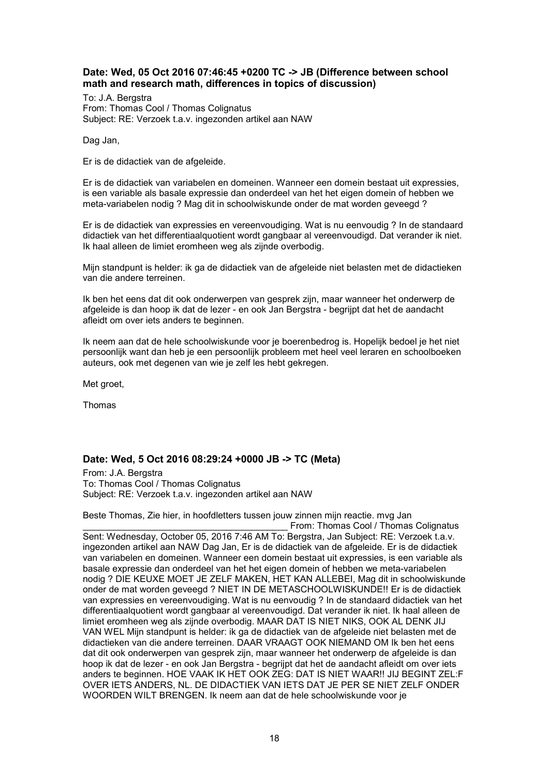## **Date: Wed, 05 Oct 2016 07:46:45 +0200 TC -> JB (Difference between school math and research math, differences in topics of discussion)**

To: J.A. Bergstra From: Thomas Cool / Thomas Colignatus Subject: RE: Verzoek t.a.v. ingezonden artikel aan NAW

Dag Jan,

Er is de didactiek van de afgeleide.

Er is de didactiek van variabelen en domeinen. Wanneer een domein bestaat uit expressies, is een variable als basale expressie dan onderdeel van het het eigen domein of hebben we meta-variabelen nodig ? Mag dit in schoolwiskunde onder de mat worden geveegd ?

Er is de didactiek van expressies en vereenvoudiging. Wat is nu eenvoudig ? In de standaard didactiek van het differentiaalquotient wordt gangbaar al vereenvoudigd. Dat verander ik niet. Ik haal alleen de limiet eromheen weg als zijnde overbodig.

Mijn standpunt is helder: ik ga de didactiek van de afgeleide niet belasten met de didactieken van die andere terreinen.

Ik ben het eens dat dit ook onderwerpen van gesprek zijn, maar wanneer het onderwerp de afgeleide is dan hoop ik dat de lezer - en ook Jan Bergstra - begrijpt dat het de aandacht afleidt om over iets anders te beginnen.

Ik neem aan dat de hele schoolwiskunde voor je boerenbedrog is. Hopelijk bedoel je het niet persoonlijk want dan heb je een persoonlijk probleem met heel veel leraren en schoolboeken auteurs, ook met degenen van wie je zelf les hebt gekregen.

Met groet.

Thomas

# **Date: Wed, 5 Oct 2016 08:29:24 +0000 JB -> TC (Meta)**

From: J.A. Bergstra To: Thomas Cool / Thomas Colignatus Subject: RE: Verzoek t.a.v. ingezonden artikel aan NAW

Beste Thomas, Zie hier, in hoofdletters tussen jouw zinnen mijn reactie. mvg Jan

From: Thomas Cool / Thomas Colignatus Sent: Wednesday, October 05, 2016 7:46 AM To: Bergstra, Jan Subject: RE: Verzoek t.a.v. ingezonden artikel aan NAW Dag Jan, Er is de didactiek van de afgeleide. Er is de didactiek van variabelen en domeinen. Wanneer een domein bestaat uit expressies, is een variable als basale expressie dan onderdeel van het het eigen domein of hebben we meta-variabelen nodig ? DIE KEUXE MOET JE ZELF MAKEN, HET KAN ALLEBEI, Mag dit in schoolwiskunde onder de mat worden geveegd ? NIET IN DE METASCHOOLWISKUNDE!! Er is de didactiek van expressies en vereenvoudiging. Wat is nu eenvoudig ? In de standaard didactiek van het differentiaalquotient wordt gangbaar al vereenvoudigd. Dat verander ik niet. Ik haal alleen de limiet eromheen weg als zijnde overbodig. MAAR DAT IS NIET NIKS, OOK AL DENK JIJ VAN WEL Mijn standpunt is helder: ik ga de didactiek van de afgeleide niet belasten met de didactieken van die andere terreinen. DAAR VRAAGT OOK NIEMAND OM Ik ben het eens dat dit ook onderwerpen van gesprek zijn, maar wanneer het onderwerp de afgeleide is dan hoop ik dat de lezer - en ook Jan Bergstra - begrijpt dat het de aandacht afleidt om over iets anders te beginnen. HOE VAAK IK HET OOK ZEG: DAT IS NIET WAAR!! JIJ BEGINT ZEL:F OVER IETS ANDERS, NL. DE DIDACTIEK VAN IETS DAT JE PER SE NIET ZELF ONDER WOORDEN WILT BRENGEN. Ik neem aan dat de hele schoolwiskunde voor je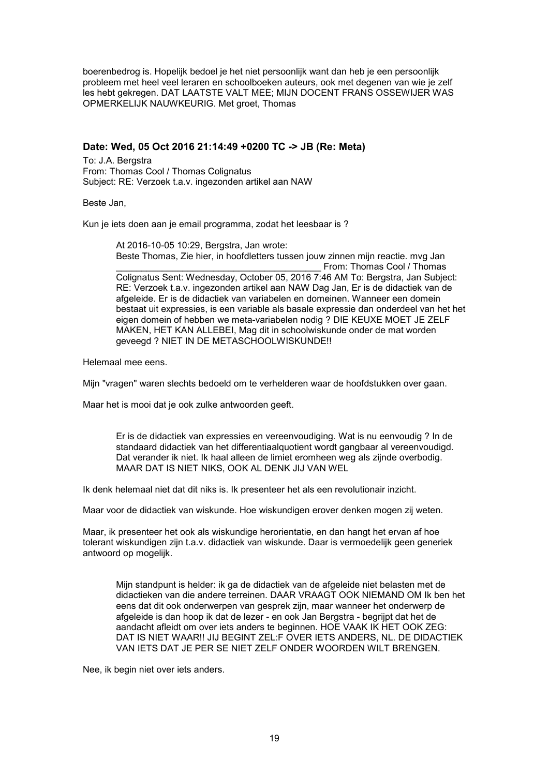boerenbedrog is. Hopelijk bedoel je het niet persoonlijk want dan heb je een persoonlijk probleem met heel veel leraren en schoolboeken auteurs, ook met degenen van wie je zelf les hebt gekregen. DAT LAATSTE VALT MEE; MIJN DOCENT FRANS OSSEWIJER WAS OPMERKELIJK NAUWKEURIG. Met groet, Thomas

### **Date: Wed, 05 Oct 2016 21:14:49 +0200 TC -> JB (Re: Meta)**

To: J.A. Bergstra From: Thomas Cool / Thomas Colignatus Subject: RE: Verzoek t.a.v. ingezonden artikel aan NAW

Beste Jan,

Kun je iets doen aan je email programma, zodat het leesbaar is ?

At 2016-10-05 10:29, Bergstra, Jan wrote: Beste Thomas, Zie hier, in hoofdletters tussen jouw zinnen mijn reactie. mvg Jan From: Thomas Cool / Thomas Colignatus Sent: Wednesday, October 05, 2016 7:46 AM To: Bergstra, Jan Subject: RE: Verzoek t.a.v. ingezonden artikel aan NAW Dag Jan, Er is de didactiek van de afgeleide. Er is de didactiek van variabelen en domeinen. Wanneer een domein bestaat uit expressies, is een variable als basale expressie dan onderdeel van het het eigen domein of hebben we meta-variabelen nodig ? DIE KEUXE MOET JE ZELF MAKEN, HET KAN ALLEBEI, Mag dit in schoolwiskunde onder de mat worden geveegd ? NIET IN DE METASCHOOLWISKUNDE!!

Helemaal mee eens.

Mijn "vragen" waren slechts bedoeld om te verhelderen waar de hoofdstukken over gaan.

Maar het is mooi dat je ook zulke antwoorden geeft.

Er is de didactiek van expressies en vereenvoudiging. Wat is nu eenvoudig ? In de standaard didactiek van het differentiaalquotient wordt gangbaar al vereenvoudigd. Dat verander ik niet. Ik haal alleen de limiet eromheen weg als zijnde overbodig. MAAR DAT IS NIET NIKS, OOK AL DENK JIJ VAN WEL

Ik denk helemaal niet dat dit niks is. Ik presenteer het als een revolutionair inzicht.

Maar voor de didactiek van wiskunde. Hoe wiskundigen erover denken mogen zij weten.

Maar, ik presenteer het ook als wiskundige herorientatie, en dan hangt het ervan af hoe tolerant wiskundigen zijn t.a.v. didactiek van wiskunde. Daar is vermoedelijk geen generiek antwoord op mogelijk.

Mijn standpunt is helder: ik ga de didactiek van de afgeleide niet belasten met de didactieken van die andere terreinen. DAAR VRAAGT OOK NIEMAND OM Ik ben het eens dat dit ook onderwerpen van gesprek zijn, maar wanneer het onderwerp de afgeleide is dan hoop ik dat de lezer - en ook Jan Bergstra - begrijpt dat het de aandacht afleidt om over iets anders te beginnen. HOE VAAK IK HET OOK ZEG: DAT IS NIET WAAR!! JIJ BEGINT ZEL:F OVER IETS ANDERS, NL. DE DIDACTIEK VAN IETS DAT JE PER SE NIET ZELF ONDER WOORDEN WILT BRENGEN.

Nee, ik begin niet over iets anders.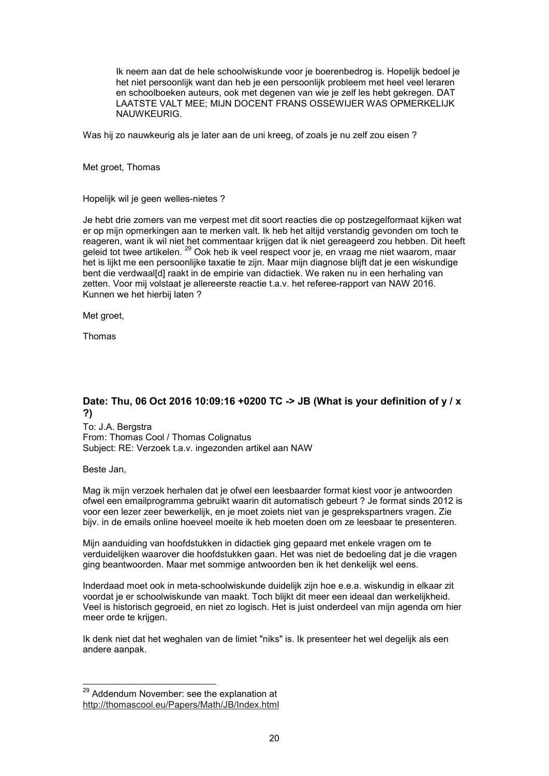Ik neem aan dat de hele schoolwiskunde voor je boerenbedrog is. Hopelijk bedoel je het niet persoonlijk want dan heb je een persoonlijk probleem met heel veel leraren en schoolboeken auteurs, ook met degenen van wie je zelf les hebt gekregen. DAT LAATSTE VALT MEE; MIJN DOCENT FRANS OSSEWIJER WAS OPMERKELIJK NAUWKEURIG.

Was hij zo nauwkeurig als je later aan de uni kreeg, of zoals je nu zelf zou eisen ?

Met groet, Thomas

Hopelijk wil je geen welles-nietes ?

Je hebt drie zomers van me verpest met dit soort reacties die op postzegelformaat kijken wat er op mijn opmerkingen aan te merken valt. Ik heb het altijd verstandig gevonden om toch te reageren, want ik wil niet het commentaar krijgen dat ik niet gereageerd zou hebben. Dit heeft geleid tot twee artikelen.<sup>29</sup> Ook heb ik veel respect voor je, en vraag me niet waarom, maar het is lijkt me een persoonlijke taxatie te zijn. Maar mijn diagnose blijft dat je een wiskundige bent die verdwaal[d] raakt in de empirie van didactiek. We raken nu in een herhaling van zetten. Voor mij volstaat je allereerste reactie t.a.v. het referee-rapport van NAW 2016. Kunnen we het hierbij laten ?

Met groet,

Thomas

# **Date: Thu, 06 Oct 2016 10:09:16 +0200 TC -> JB (What is your definition of y / x ?)**

To: J.A. Bergstra From: Thomas Cool / Thomas Colignatus Subject: RE: Verzoek t.a.v. ingezonden artikel aan NAW

### Beste Jan,

Mag ik mijn verzoek herhalen dat je ofwel een leesbaarder format kiest voor je antwoorden ofwel een emailprogramma gebruikt waarin dit automatisch gebeurt ? Je format sinds 2012 is voor een lezer zeer bewerkelijk, en je moet zoiets niet van je gesprekspartners vragen. Zie bijv. in de emails online hoeveel moeite ik heb moeten doen om ze leesbaar te presenteren.

Mijn aanduiding van hoofdstukken in didactiek ging gepaard met enkele vragen om te verduidelijken waarover die hoofdstukken gaan. Het was niet de bedoeling dat je die vragen ging beantwoorden. Maar met sommige antwoorden ben ik het denkelijk wel eens.

Inderdaad moet ook in meta-schoolwiskunde duidelijk zijn hoe e.e.a. wiskundig in elkaar zit voordat je er schoolwiskunde van maakt. Toch blijkt dit meer een ideaal dan werkelijkheid. Veel is historisch gegroeid, en niet zo logisch. Het is juist onderdeel van mijn agenda om hier meer orde te krijgen.

Ik denk niet dat het weghalen van de limiet "niks" is. Ik presenteer het wel degelijk als een andere aanpak.

 $\overline{a}$  $^{29}$  Addendum November: see the explanation at http://thomascool.eu/Papers/Math/JB/Index.html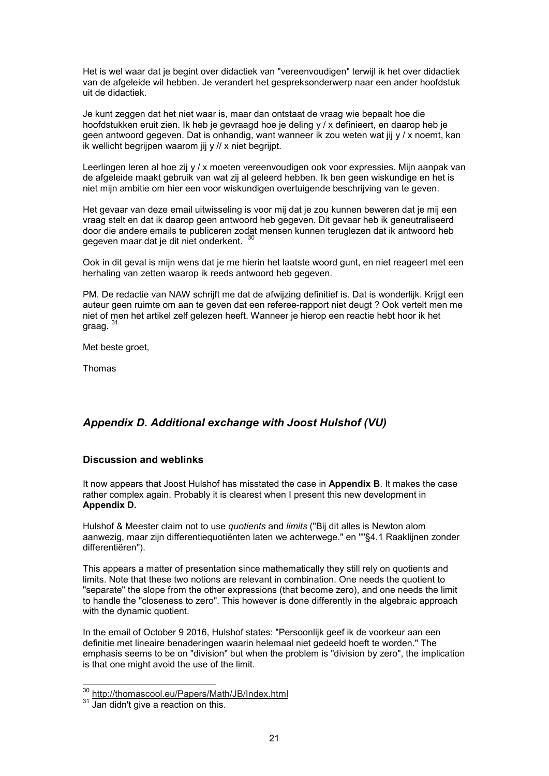Het is wel waar dat je begint over didactiek van "vereenvoudigen" terwijl ik het over didactiek van de afgeleide wil hebben. Je verandert het gespreksonderwerp naar een ander hoofdstuk uit de didactiek.

Je kunt zeggen dat het niet waar is, maar dan ontstaat de vraag wie bepaalt hoe die hoofdstukken eruit zien. Ik heb je gevraagd hoe je deling y / x definieert, en daarop heb je geen antwoord gegeven. Dat is onhandig, want wanneer ik zou weten wat jij y / x noemt, kan ik wellicht begrijpen waarom jij y // x niet begrijpt.

Leerlingen leren al hoe zij y / x moeten vereenvoudigen ook voor expressies. Mijn aanpak van de afgeleide maakt gebruik van wat zij al geleerd hebben. Ik ben geen wiskundige en het is niet mijn ambitie om hier een voor wiskundigen overtuigende beschrijving van te geven.

Het gevaar van deze email uitwisseling is voor mij dat je zou kunnen beweren dat je mij een vraag stelt en dat ik daarop geen antwoord heb gegeven. Dit gevaar heb ik geneutraliseerd door die andere emails te publiceren zodat mensen kunnen teruglezen dat ik antwoord heb gegeven maar dat je dit niet onderkent. <sup>30</sup>

Ook in dit geval is mijn wens dat je me hierin het laatste woord gunt, en niet reageert met een herhaling van zetten waarop ik reeds antwoord heb gegeven.

PM. De redactie van NAW schrijft me dat de afwijzing definitief is. Dat is wonderlijk. Krijgt een auteur geen ruimte om aan te geven dat een referee-rapport niet deugt ? Ook vertelt men me niet of men het artikel zelf gelezen heeft. Wanneer je hierop een reactie hebt hoor ik het graag. <sup>31</sup>

Met beste groet,

Thomas

# *Appendix D. Additional exchange with Joost Hulshof (VU)*

## **Discussion and weblinks**

It now appears that Joost Hulshof has misstated the case in **Appendix B**. It makes the case rather complex again. Probably it is clearest when I present this new development in **Appendix D.**

Hulshof & Meester claim not to use *quotients* and *limits* ("Bij dit alles is Newton alom aanwezig, maar zijn differentiequotiënten laten we achterwege." en ""§4.1 Raaklijnen zonder differentiëren").

This appears a matter of presentation since mathematically they still rely on quotients and limits. Note that these two notions are relevant in combination. One needs the quotient to "separate" the slope from the other expressions (that become zero), and one needs the limit to handle the "closeness to zero". This however is done differently in the algebraic approach with the dynamic quotient.

In the email of October 9 2016, Hulshof states: "Persoonlijk geef ik de voorkeur aan een definitie met lineaire benaderingen waarin helemaal niet gedeeld hoeft te worden." The emphasis seems to be on "division" but when the problem is "division by zero", the implication is that one might avoid the use of the limit.

 $\overline{a}$ 

<sup>30</sup> http://thomascool.eu/Papers/Math/JB/Index.html

<sup>&</sup>lt;sup>31</sup> Jan didn't give a reaction on this.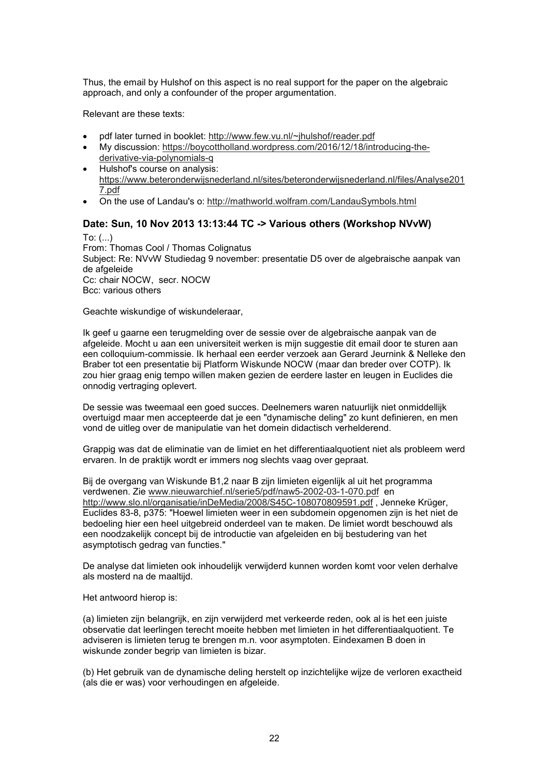Thus, the email by Hulshof on this aspect is no real support for the paper on the algebraic approach, and only a confounder of the proper argumentation.

Relevant are these texts:

- pdf later turned in booklet: http://www.few.vu.nl/~jhulshof/reader.pdf
- My discussion: https://boycottholland.wordpress.com/2016/12/18/introducing-thederivative-via-polynomials-q
- Hulshof's course on analysis: https://www.beteronderwijsnederland.nl/sites/beteronderwijsnederland.nl/files/Analyse201 7.pdf
- On the use of Landau's o: http://mathworld.wolfram.com/LandauSymbols.html

# **Date: Sun, 10 Nov 2013 13:13:44 TC -> Various others (Workshop NVvW)**

To:  $(...)$ From: Thomas Cool / Thomas Colignatus Subject: Re: NVvW Studiedag 9 november: presentatie D5 over de algebraische aanpak van de afgeleide Cc: chair NOCW, secr. NOCW Bcc: various others

Geachte wiskundige of wiskundeleraar,

Ik geef u gaarne een terugmelding over de sessie over de algebraische aanpak van de afgeleide. Mocht u aan een universiteit werken is mijn suggestie dit email door te sturen aan een colloquium-commissie. Ik herhaal een eerder verzoek aan Gerard Jeurnink & Nelleke den Braber tot een presentatie bij Platform Wiskunde NOCW (maar dan breder over COTP). Ik zou hier graag enig tempo willen maken gezien de eerdere laster en leugen in Euclides die onnodig vertraging oplevert.

De sessie was tweemaal een goed succes. Deelnemers waren natuurlijk niet onmiddellijk overtuigd maar men accepteerde dat je een "dynamische deling" zo kunt definieren, en men vond de uitleg over de manipulatie van het domein didactisch verhelderend.

Grappig was dat de eliminatie van de limiet en het differentiaalquotient niet als probleem werd ervaren. In de praktijk wordt er immers nog slechts vaag over gepraat.

Bij de overgang van Wiskunde B1,2 naar B zijn limieten eigenlijk al uit het programma verdwenen. Zie www.nieuwarchief.nl/serie5/pdf/naw5-2002-03-1-070.pdf en http://www.slo.nl/organisatie/inDeMedia/2008/S45C-108070809591.pdf , Jenneke Krüger, Euclides 83-8, p375: "Hoewel limieten weer in een subdomein opgenomen zijn is het niet de bedoeling hier een heel uitgebreid onderdeel van te maken. De limiet wordt beschouwd als een noodzakelijk concept bij de introductie van afgeleiden en bij bestudering van het asymptotisch gedrag van functies."

De analyse dat limieten ook inhoudelijk verwijderd kunnen worden komt voor velen derhalve als mosterd na de maaltijd.

Het antwoord hierop is:

(a) limieten zijn belangrijk, en zijn verwijderd met verkeerde reden, ook al is het een juiste observatie dat leerlingen terecht moeite hebben met limieten in het differentiaalquotient. Te adviseren is limieten terug te brengen m.n. voor asymptoten. Eindexamen B doen in wiskunde zonder begrip van limieten is bizar.

(b) Het gebruik van de dynamische deling herstelt op inzichtelijke wijze de verloren exactheid (als die er was) voor verhoudingen en afgeleide.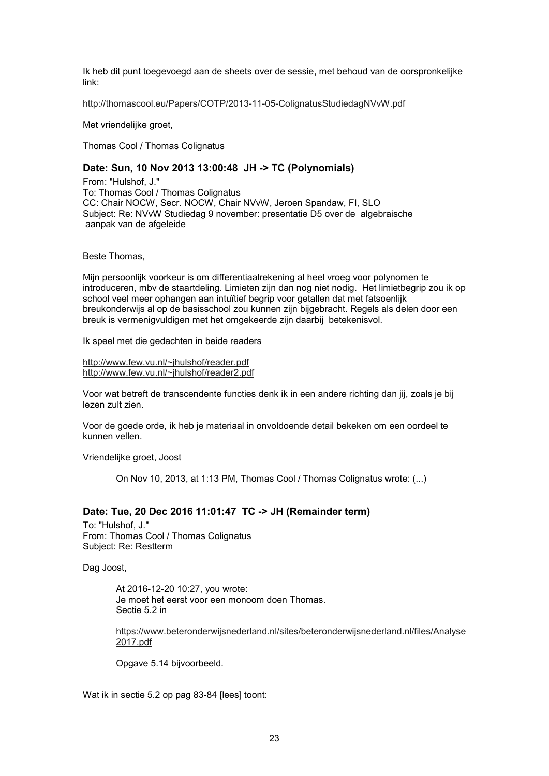Ik heb dit punt toegevoegd aan de sheets over de sessie, met behoud van de oorspronkelijke link:

http://thomascool.eu/Papers/COTP/2013-11-05-ColignatusStudiedagNVvW.pdf

Met vriendelijke groet,

Thomas Cool / Thomas Colignatus

## **Date: Sun, 10 Nov 2013 13:00:48 JH -> TC (Polynomials)**

From: "Hulshof, J." To: Thomas Cool / Thomas Colignatus CC: Chair NOCW, Secr. NOCW, Chair NVvW, Jeroen Spandaw, FI, SLO Subject: Re: NVvW Studiedag 9 november: presentatie D5 over de algebraische aanpak van de afgeleide

Beste Thomas,

Mijn persoonlijk voorkeur is om differentiaalrekening al heel vroeg voor polynomen te introduceren, mbv de staartdeling. Limieten zijn dan nog niet nodig. Het limietbegrip zou ik op school veel meer ophangen aan intuïtief begrip voor getallen dat met fatsoenlijk breukonderwijs al op de basisschool zou kunnen zijn bijgebracht. Regels als delen door een breuk is vermenigvuldigen met het omgekeerde zijn daarbij betekenisvol.

Ik speel met die gedachten in beide readers

http://www.few.vu.nl/~jhulshof/reader.pdf http://www.few.vu.nl/~jhulshof/reader2.pdf

Voor wat betreft de transcendente functies denk ik in een andere richting dan jij, zoals je bij lezen zult zien.

Voor de goede orde, ik heb je materiaal in onvoldoende detail bekeken om een oordeel te kunnen vellen.

Vriendelijke groet, Joost

On Nov 10, 2013, at 1:13 PM, Thomas Cool / Thomas Colignatus wrote: (...)

## **Date: Tue, 20 Dec 2016 11:01:47 TC -> JH (Remainder term)**

To: "Hulshof, J." From: Thomas Cool / Thomas Colignatus Subject: Re: Restterm

Dag Joost,

At 2016-12-20 10:27, you wrote: Je moet het eerst voor een monoom doen Thomas. Sectie 5.2 in

https://www.beteronderwijsnederland.nl/sites/beteronderwijsnederland.nl/files/Analyse 2017.pdf

Opgave 5.14 bijvoorbeeld.

Wat ik in sectie 5.2 op pag 83-84 [lees] toont: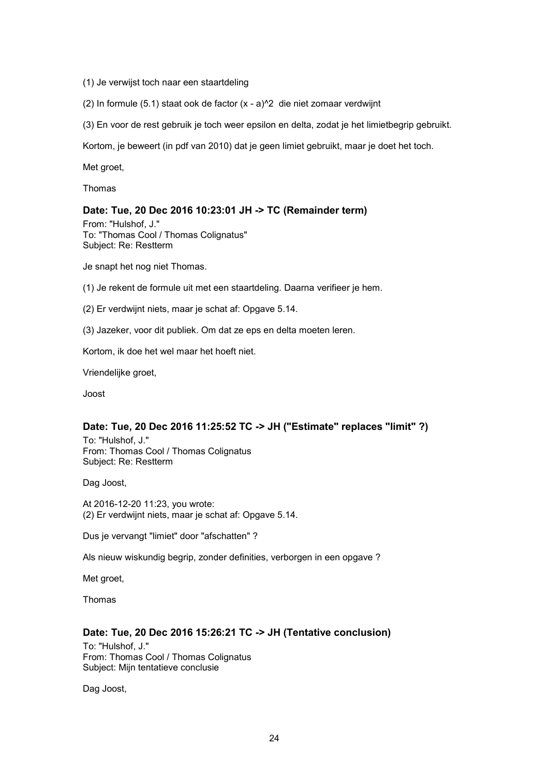- (1) Je verwijst toch naar een staartdeling
- (2) In formule (5.1) staat ook de factor (x a)^2 die niet zomaar verdwijnt
- (3) En voor de rest gebruik je toch weer epsilon en delta, zodat je het limietbegrip gebruikt.

Kortom, je beweert (in pdf van 2010) dat je geen limiet gebruikt, maar je doet het toch.

Met groet.

Thomas

### **Date: Tue, 20 Dec 2016 10:23:01 JH -> TC (Remainder term)**

From: "Hulshof, J." To: "Thomas Cool / Thomas Colignatus" Subject: Re: Restterm

Je snapt het nog niet Thomas.

- (1) Je rekent de formule uit met een staartdeling. Daarna verifieer je hem.
- (2) Er verdwijnt niets, maar je schat af: Opgave 5.14.
- (3) Jazeker, voor dit publiek. Om dat ze eps en delta moeten leren.

Kortom, ik doe het wel maar het hoeft niet.

Vriendelijke groet,

Joost

### **Date: Tue, 20 Dec 2016 11:25:52 TC -> JH ("Estimate" replaces "limit" ?)**

To: "Hulshof, J." From: Thomas Cool / Thomas Colignatus Subject: Re: Restterm

Dag Joost,

At 2016-12-20 11:23, you wrote: (2) Er verdwijnt niets, maar je schat af: Opgave 5.14.

Dus je vervangt "limiet" door "afschatten" ?

Als nieuw wiskundig begrip, zonder definities, verborgen in een opgave ?

Met groet,

Thomas

## **Date: Tue, 20 Dec 2016 15:26:21 TC -> JH (Tentative conclusion)**

To: "Hulshof, J." From: Thomas Cool / Thomas Colignatus Subject: Mijn tentatieve conclusie

Dag Joost,